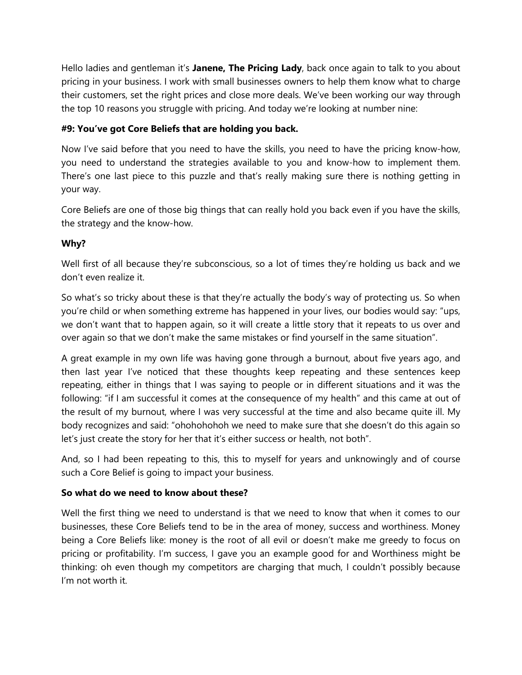Hello ladies and gentleman it's **Janene, The Pricing Lady**, back once again to talk to you about pricing in your business. I work with small businesses owners to help them know what to charge their customers, set the right prices and close more deals. We've been working our way through the top 10 reasons you struggle with pricing. And today we're looking at number nine:

## **#9: You've got Core Beliefs that are holding you back.**

Now I've said before that you need to have the skills, you need to have the pricing know-how, you need to understand the strategies available to you and know-how to implement them. There's one last piece to this puzzle and that's really making sure there is nothing getting in your way.

Core Beliefs are one of those big things that can really hold you back even if you have the skills, the strategy and the know-how.

## **Why?**

Well first of all because they're subconscious, so a lot of times they're holding us back and we don't even realize it.

So what's so tricky about these is that they're actually the body's way of protecting us. So when you're child or when something extreme has happened in your lives, our bodies would say: "ups, we don't want that to happen again, so it will create a little story that it repeats to us over and over again so that we don't make the same mistakes or find yourself in the same situation".

A great example in my own life was having gone through a burnout, about five years ago, and then last year I've noticed that these thoughts keep repeating and these sentences keep repeating, either in things that I was saying to people or in different situations and it was the following: "if I am successful it comes at the consequence of my health" and this came at out of the result of my burnout, where I was very successful at the time and also became quite ill. My body recognizes and said: "ohohohohoh we need to make sure that she doesn't do this again so let's just create the story for her that it's either success or health, not both".

And, so I had been repeating to this, this to myself for years and unknowingly and of course such a Core Belief is going to impact your business.

## **So what do we need to know about these?**

Well the first thing we need to understand is that we need to know that when it comes to our businesses, these Core Beliefs tend to be in the area of money, success and worthiness. Money being a Core Beliefs like: money is the root of all evil or doesn't make me greedy to focus on pricing or profitability. I'm success, I gave you an example good for and Worthiness might be thinking: oh even though my competitors are charging that much, I couldn't possibly because I'm not worth it.